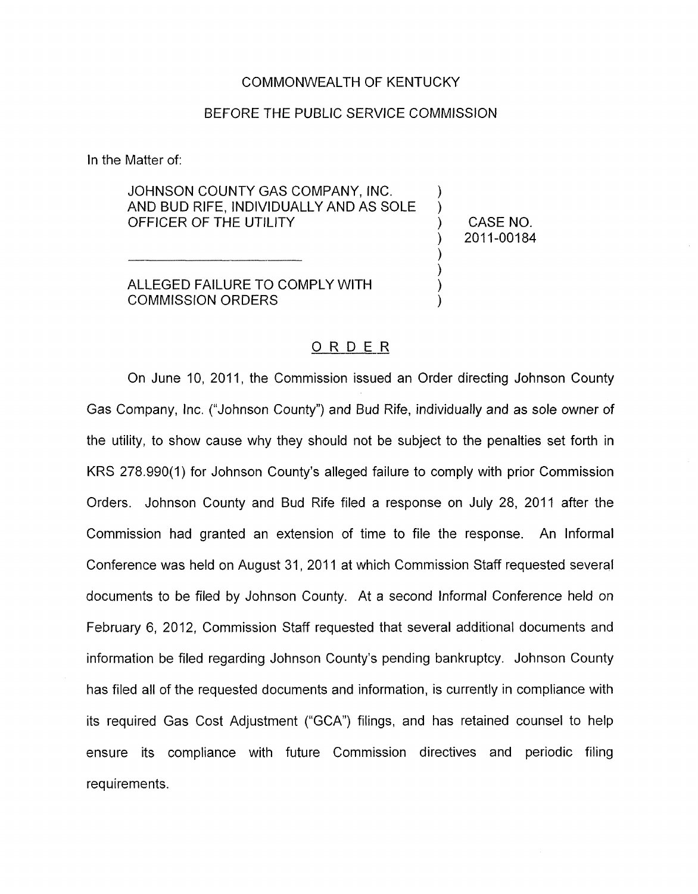## COMMONWEALTH OF KENTUCKY

## BEFORE THE PUBLIC SERVICE COMMISSION

In the Matter of:

JOHNSON COUNTY GAS COMPANY, INC. AND BUD RIFE, INDIVIDUALLY AND AS SOLE OFFICER OF THE UTILITY ) CASENO.

ALLEGED FAILURE TO COMPLY WITH COMMISSION ORDERS 1

) 2011-00184

) )

)  $\sum_{i=1}^{n}$ 

## ORDER

On June 10, 2011, the Commission issued an Order directing Johnson County Gas Company, Inc. ("Johnson County") and Bud Rife, individually and as sole owner of the utility, to show cause why they should not be subject to the penalties set forth in KRS 278.990(1) for Johnson County's alleged failure to comply with prior Commission Orders. Johnson County and Bud Rife filed a response on July 28, 2011 after the Commission had granted an extension of time to file the response. An Informal Conference was held on August 31, 2011 at which Commission Staff requested several documents to be filed by Johnson County. At a second Informal Conference held on February 6, 2012, Commission Staff requested that several additional documents and information be filed regarding Johnson County's pending bankruptcy. Johnson County has filed all of the requested documents and information, is currently in compliance with its required Gas Cost Adjustment ("GCA") filings, and has retained counsel to help ensure its compliance with future Commission directives and periodic filing requirements.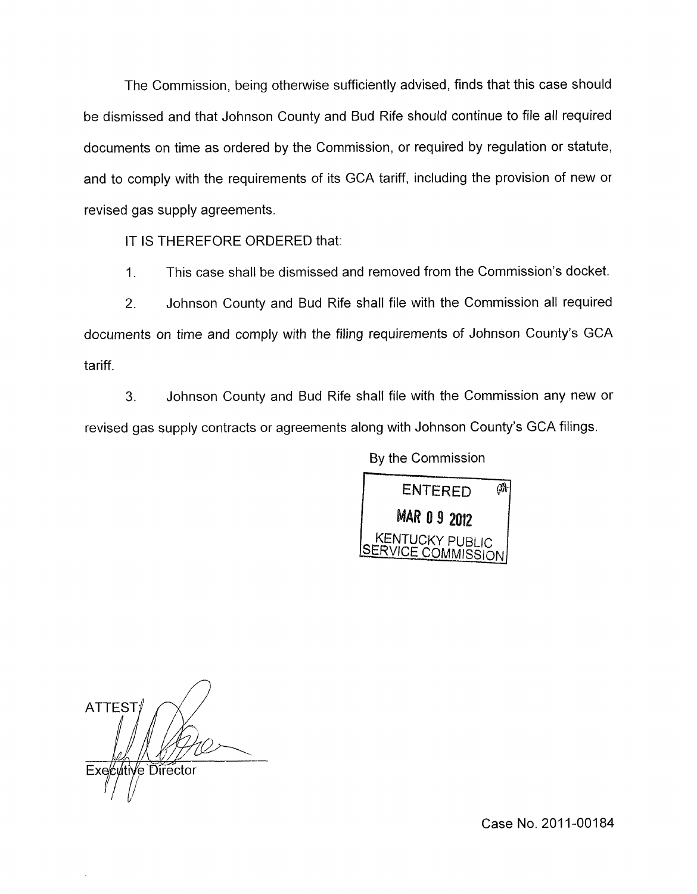The Commission, being otherwise sufficiently advised, finds that this case should be dismissed and that Johnson County and Bud Rife should continue to file all required documents on time as ordered by the Commission, or required by regulation or statute, and to comply with the requirements of its GCA tariff, including the provision of new or revised gas supply agreements.

IT IS THEREFORE ORDERED that:

1. This case shall be dismissed and removed from the Commission's docket.

2. Johnson County and Bud Rife shall file with the Commission all required documents on time and comply with the filing requirements of Johnson County's GCA tariff.

**3.** Johnson County and Bud Rife shall file with the Commission any new or revised gas supply contracts or agreements along with Johnson County's GCA filings.

By the Commission



**ATTEST** Executive Director

Case No. 2011-00184